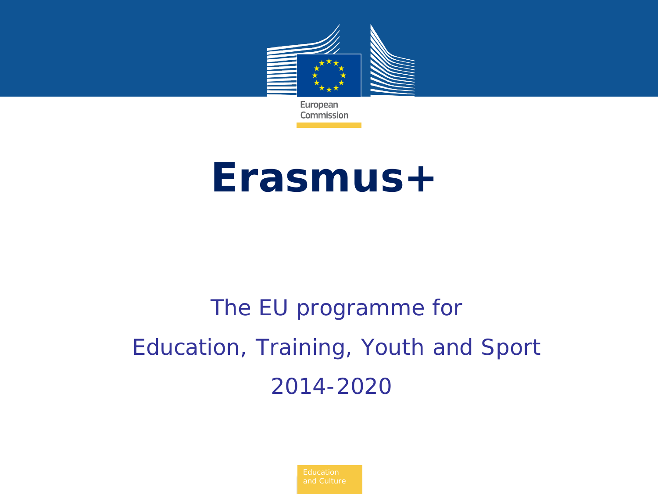

# **Erasmus+**

# *The EU programme for Education, Training, Youth and Sport 2014-2020*

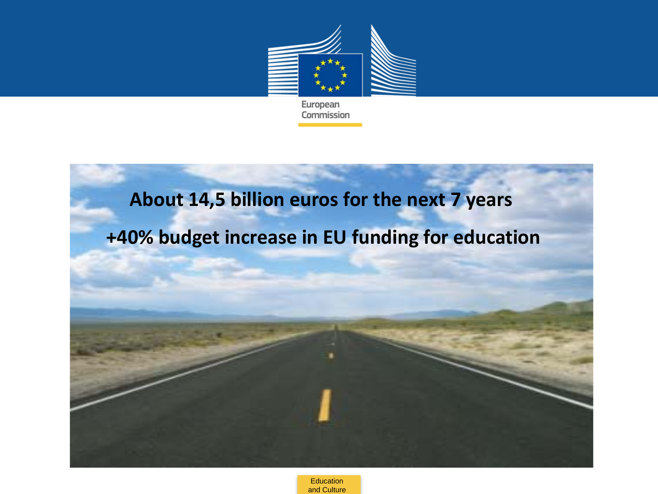

#### **About 14,5 billion euros for the next 7 years**

### **+40% budget increase in EU funding for education**

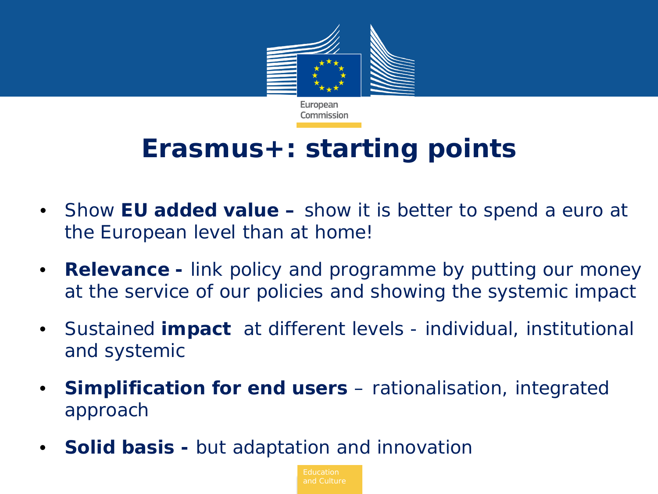

### **Erasmus+: starting points**

- Show **EU added value –** show it is better to spend a euro at the European level than at home!
- **Relevance -** link policy and programme by putting our money at the service of our policies and showing the systemic impact
- Sustained **impact** at different levels individual, institutional and systemic
- **Simplification for end users** rationalisation, integrated approach
- **Solid basis -** but adaptation and innovation

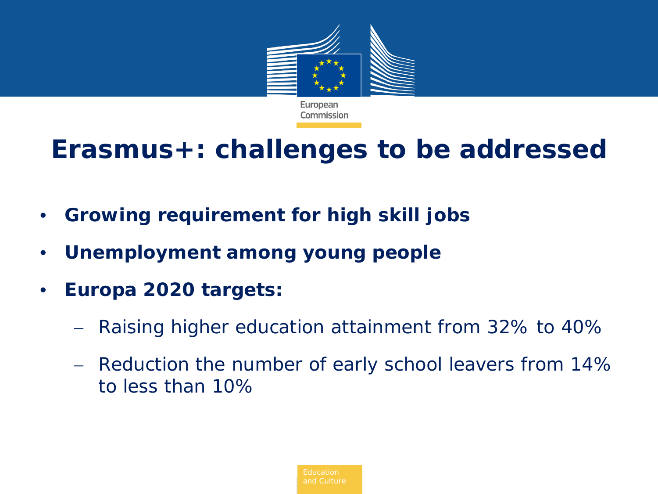

### **Erasmus+: challenges to be addressed**

- **Growing requirement for high skill jobs**
- **Unemployment among young people**
- **Europa 2020 targets:**
	- − Raising higher education attainment from 32% to 40%
	- − Reduction the number of early school leavers from 14% to less than 10%

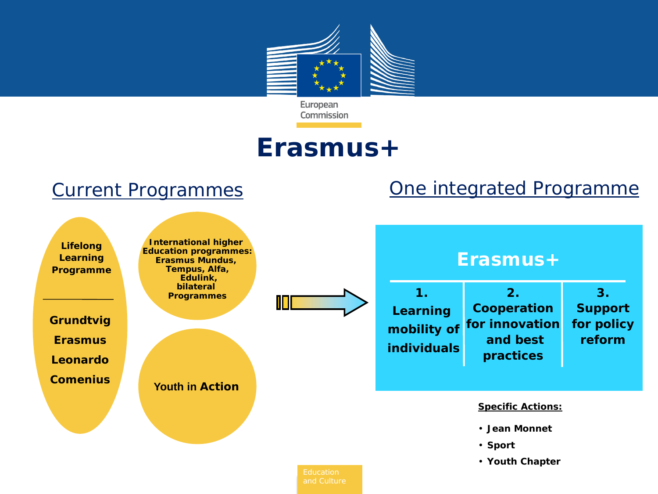

### **Erasmus+**

#### Current Programmes **Current Programme**

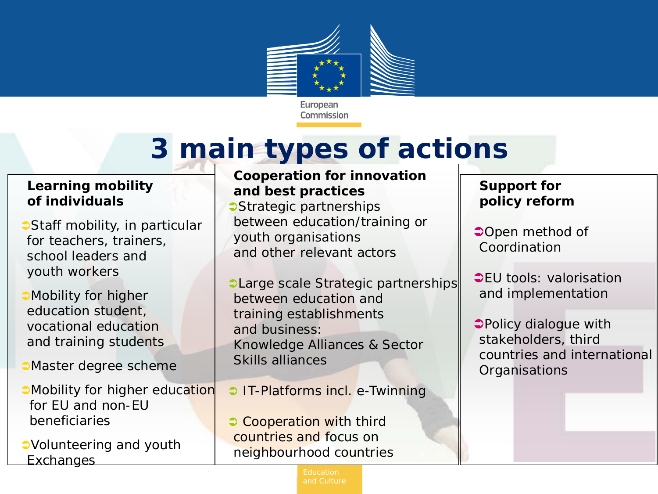

# **3 main types of actions**

#### **Learning mobility of individuals**

- **Staff mobility, in particular** for teachers, trainers, school leaders and youth workers
- **Mobility for higher** education student, vocational education and training students
- **Master degree scheme**
- **Mobility for higher education**  for EU and non-EU beneficiaries
- Volunteering and youth **Exchanges**

#### **Cooperation for innovation and best practices**

- **Strategic partnerships** between education/training or youth organisations and other relevant actors
- **CLarge scale Strategic partnerships** between education and training establishments and business: Knowledge Alliances & Sector Skills alliances
- **IT-Platforms incl. e-Twinning**
- **Cooperation with third** countries and focus on neighbourhood countries

#### **Support for policy reform**

- **Open method of** Coordination
- **CEU** tools: valorisation and implementation
- Policy dialogue with stakeholders, third countries and international **Organisations**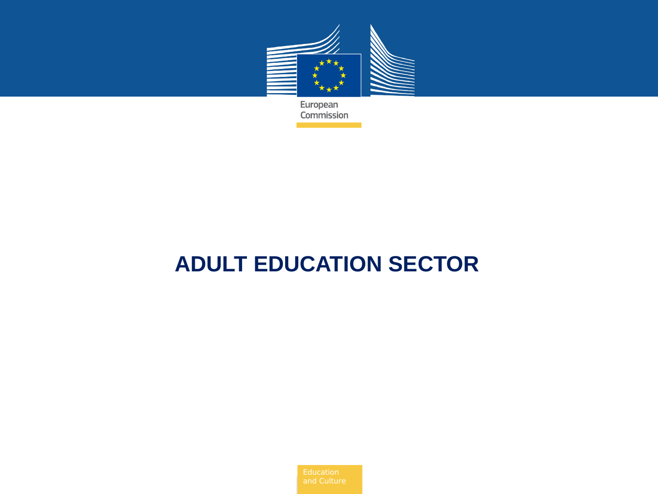

### **ADULT EDUCATION SECTOR**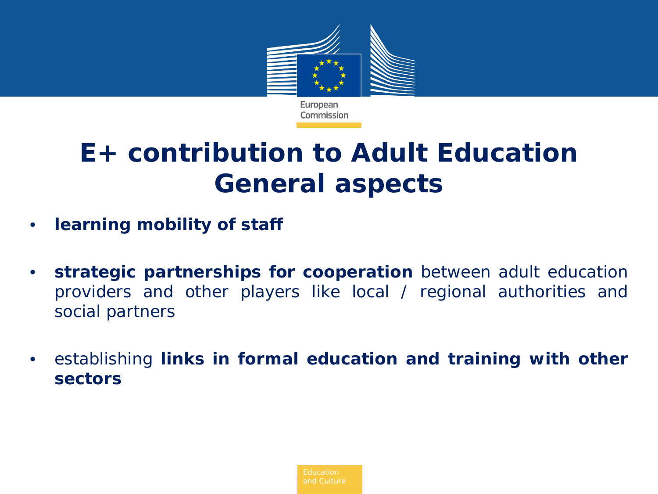

### **E+ contribution to Adult Education General aspects**

- **learning mobility of staff**
- **strategic partnerships for cooperation** between adult education providers and other players like local / regional authorities and social partners
- establishing **links in formal education and training with other sectors**

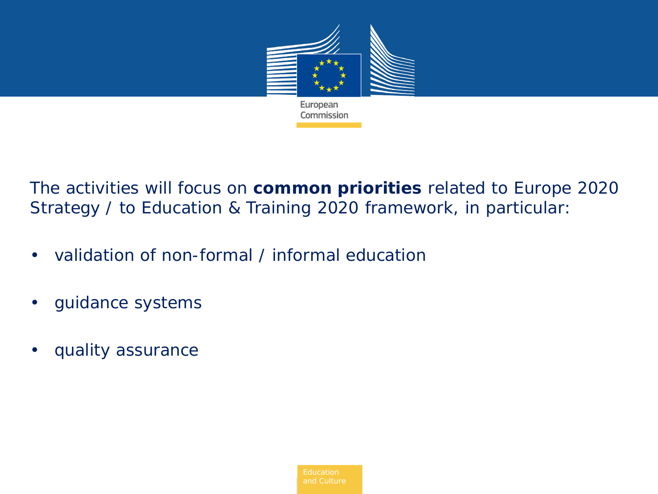

The activities will focus on **common priorities** related to Europe 2020 Strategy / to Education & Training 2020 framework, in particular:

- validation of non-formal / informal education
- guidance systems
- quality assurance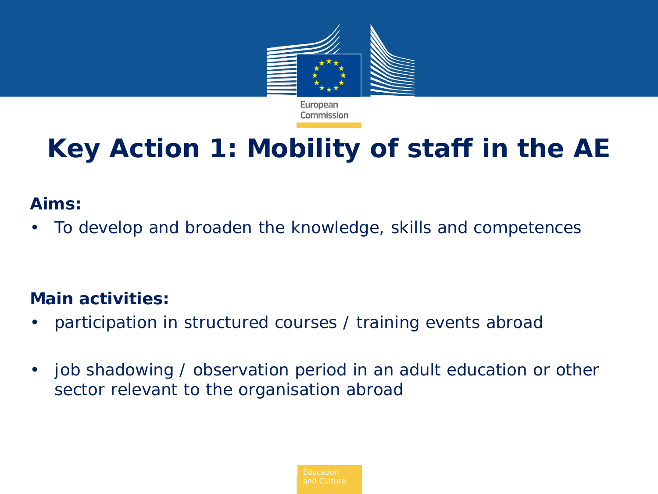

# **Key Action 1: Mobility of staff in the AE**

#### **Aims:**

• To develop and broaden the knowledge, skills and competences

- participation in structured courses / training events abroad
- job shadowing / observation period in an adult education or other sector relevant to the organisation abroad

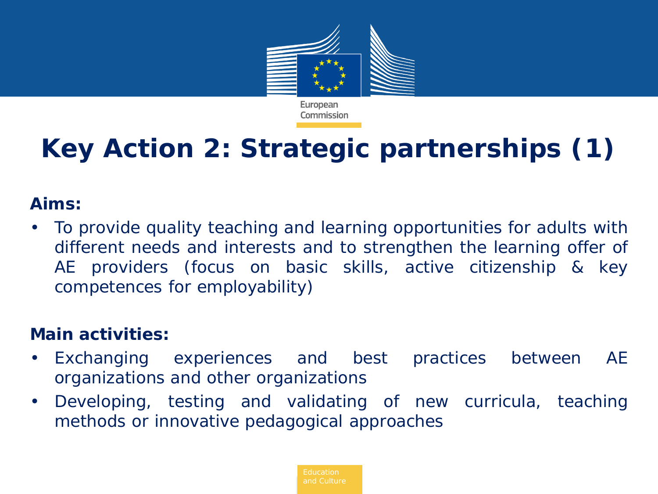

# **Key Action 2: Strategic partnerships (1)**

#### **Aims:**

• To provide quality teaching and learning opportunities for adults with different needs and interests and to strengthen the learning offer of AE providers (focus on basic skills, active citizenship & key competences for employability)

- Exchanging experiences and best practices between AE organizations and other organizations
- Developing, testing and validating of new curricula, teaching methods or innovative pedagogical approaches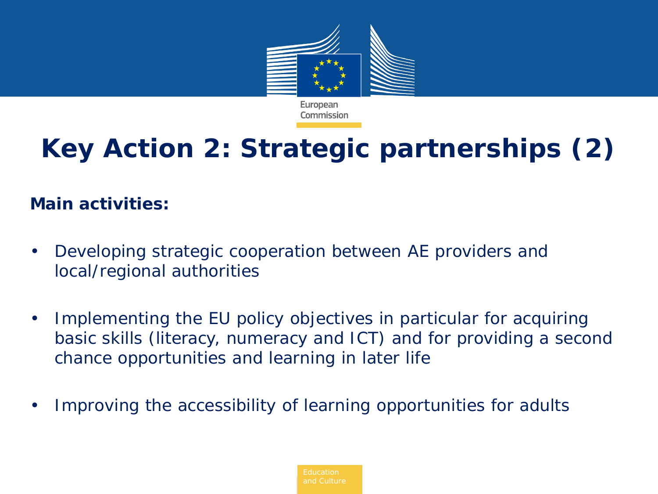

# **Key Action 2: Strategic partnerships (2)**

- Developing strategic cooperation between AE providers and local/regional authorities
- Implementing the EU policy objectives in particular for acquiring basic skills (literacy, numeracy and ICT) and for providing a second chance opportunities and learning in later life
- Improving the accessibility of learning opportunities for adults

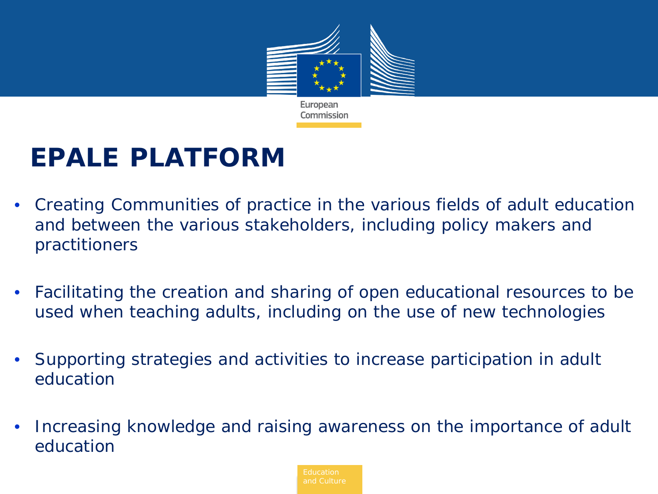

### **EPALE PLATFORM**

- Creating Communities of practice in the various fields of adult education and between the various stakeholders, including policy makers and practitioners
- Facilitating the creation and sharing of open educational resources to be used when teaching adults, including on the use of new technologies
- Supporting strategies and activities to increase participation in adult education
- Increasing knowledge and raising awareness on the importance of adult education

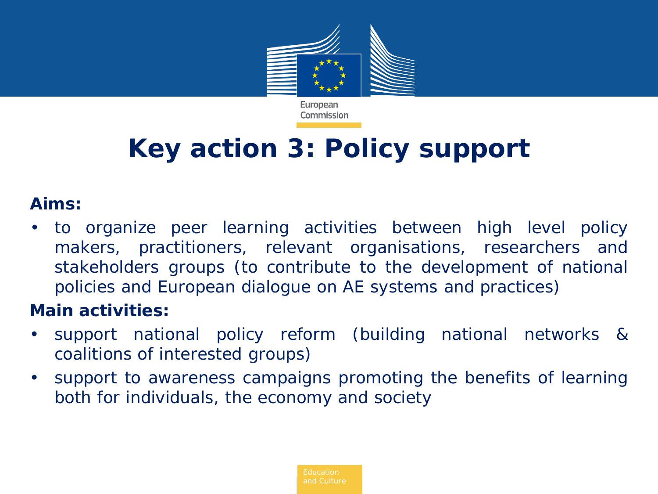

## **Key action 3: Policy support**

#### **Aims:**

• to organize peer learning activities between high level policy makers, practitioners, relevant organisations, researchers and stakeholders groups (to contribute to the development of national policies and European dialogue on AE systems and practices)

- support national policy reform (building national networks & coalitions of interested groups)
- support to awareness campaigns promoting the benefits of learning both for individuals, the economy and society

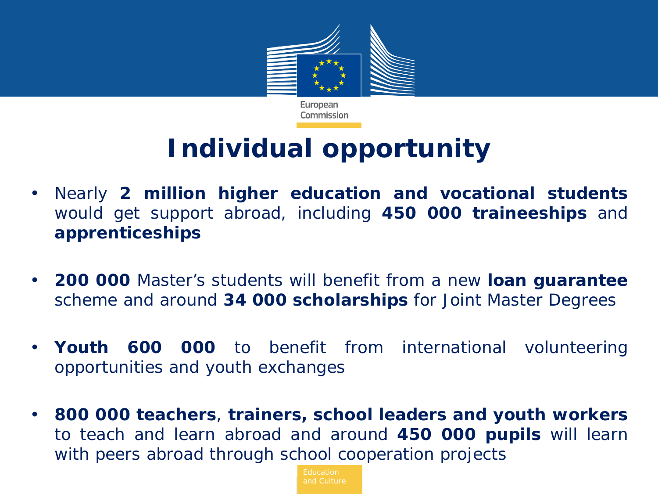

### **Individual opportunity**

- Nearly **2 million higher education and vocational students** would get support abroad, including **450 000 traineeships** and **apprenticeships**
- **200 000** Master's students will benefit from a new **loan guarantee** scheme and around **34 000 scholarships** for Joint Master Degrees
- **Youth 600 000** to benefit from international volunteering opportunities and youth exchanges
- **800 000 teachers**, **trainers, school leaders and youth workers** to teach and learn abroad and around **450 000 pupils** will learn with peers abroad through school cooperation projects

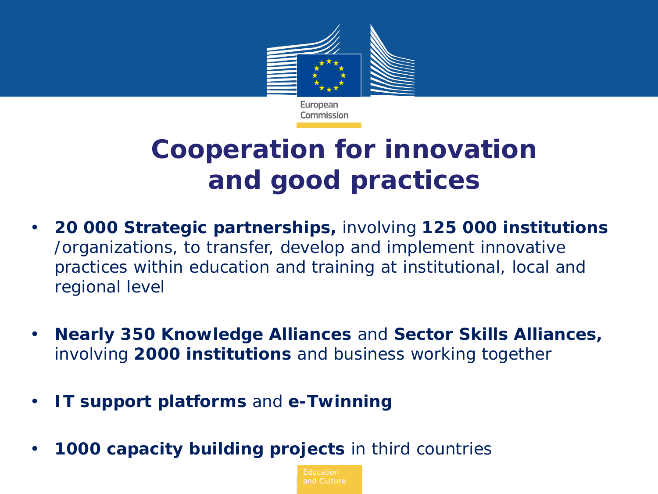

### **Cooperation for innovation and good practices**

- **20 000 Strategic partnerships,** involving **125 000 institutions**  /organizations, to transfer, develop and implement innovative practices within education and training at institutional, local and regional level
- **Nearly 350 Knowledge Alliances** and **Sector Skills Alliances,**  involving **2000 institutions** and business working together
- **IT support platforms** and **e-Twinning**
- **1000 capacity building projects** in third countries

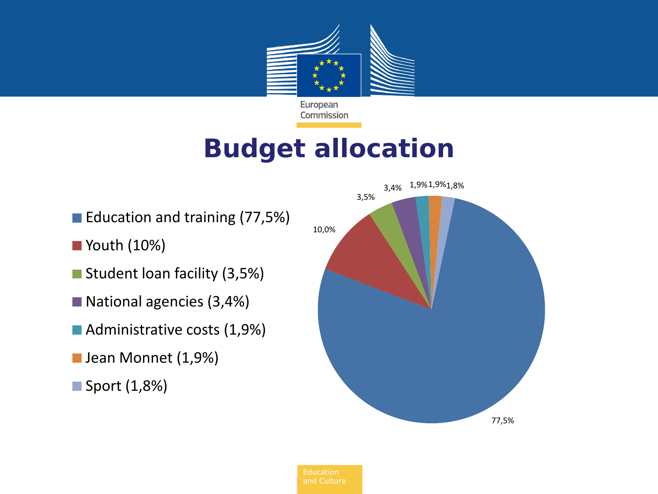

### **Budget allocation**

- Education and training (77,5%)
- Youth (10%)
- Student loan facility (3,5%)
- National agencies (3,4%)
- Administrative costs (1,9%)
- **Jean Monnet (1,9%)**
- Sport (1,8%)

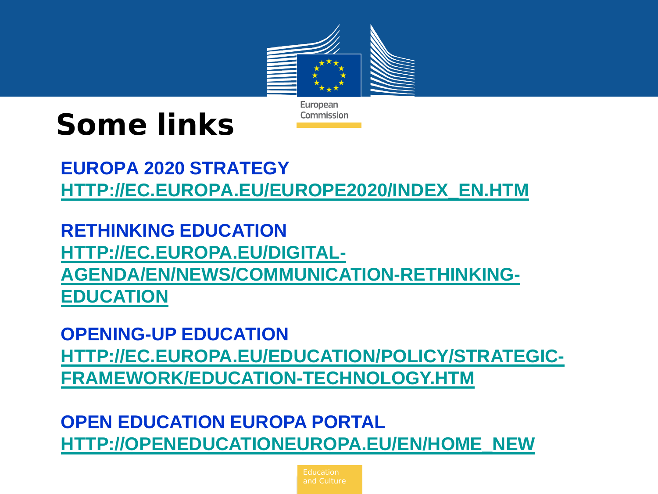

# **Some links**

**EUROPA 2020 STRATEGY [HTTP://EC.EUROPA.EU/EUROPE2020/INDEX\\_EN.HTM](http://ec.europa.eu/europe2020/index_en.htm)**

**RETHINKING EDUCATION [HTTP://EC.EUROPA.EU/DIGITAL-](http://ec.europa.eu/digital-agenda/en/news/communication-rethinking-education)[AGENDA/EN/NEWS/COMMUNICATION-RETHINKING-](http://ec.europa.eu/digital-agenda/en/news/communication-rethinking-education)[EDUCATION](http://ec.europa.eu/digital-agenda/en/news/communication-rethinking-education)**

**OPENING-UP EDUCATION [HTTP://EC.EUROPA.EU/EDUCATION/POLICY/STRATEGIC-](http://ec.europa.eu/education/policy/strategic-framework/education-technology.htm)[FRAMEWORK/EDUCATION-TECHNOLOGY.HTM](http://ec.europa.eu/education/policy/strategic-framework/education-technology.htm)**

**OPEN EDUCATION EUROPA PORTAL [HTTP://OPENEDUCATIONEUROPA.EU/EN/HOME\\_NEW](http://openeducationeuropa.eu/en/home_new)**